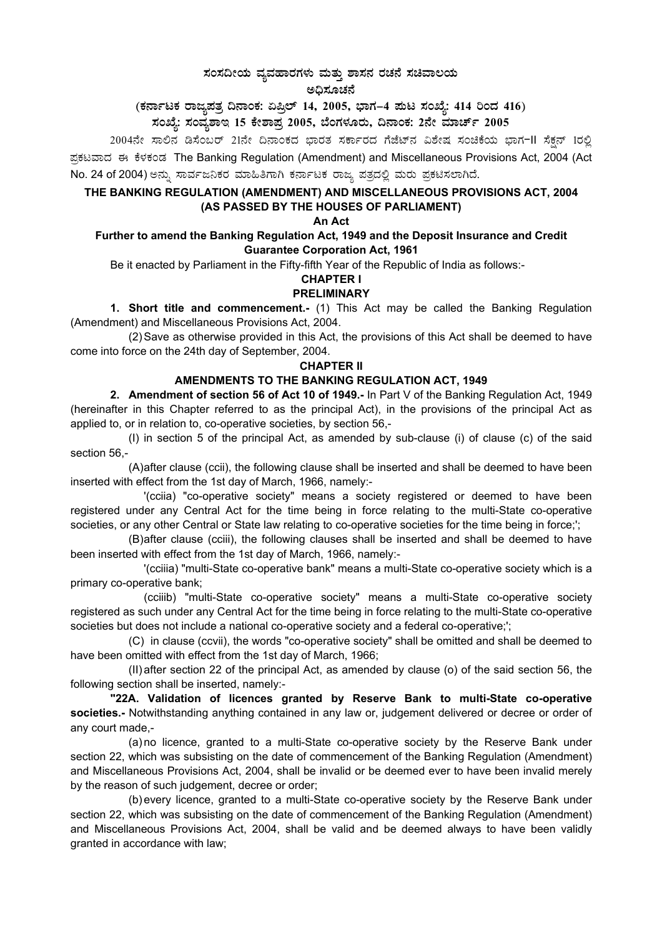# ಸಂಸದೀಯ ವ್ಯವಹಾರಗಳು ಮತ್ತು ಶಾಸನ ರಚನೆ ಸಚಿವಾಲಯ<br>- ಸಂಸದೀಯ ವ್ಯವ

ಅಧಿಸೂಚನೆ

(ಕರ್ನಾಟಕ ರಾಜ್ಯಪತ್ರ ದಿನಾಂಕ: ಏಪ್ರಿಲ್ 14, 2005, ಭಾಗ–4 ಮಟ ಸಂಖ್ಯೆ: 414 ರಿಂದ 416)<br>ಸಂಖ್ಯೆ: ಸಂವ್ಯಶಾಇ 15 ಕೇಶಾಪ್ರ 2005, ಬೆಂಗಳೂರು, ದಿನಾಂಕ: 2ನೇ ಮಾರ್ಚ್ 2005

2004ನೇ ಸಾಲಿನ ಡಿಸೆಂಬರ್ 21ನೇ ದಿನಾಂಕದ ಭಾರತ ಸರ್ಕಾರದ ಗೆಜೆಟ್ನ ವಿಶೇಷ ಸಂಚಿಕೆಯ ಭಾಗ-II ಸೆಕ್ಷನ್ 1ರಲ್ಲಿ ಪ್ರಕಟವಾದ ಈ ಕೆಳಕಂಡ The Banking Regulation (Amendment) and Miscellaneous Provisions Act, 2004 (Act No. 24 of 2004) ಅನ್ನು ಸಾರ್ವಜನಿಕರ ಮಾಹಿತಿಗಾಗಿ ಕರ್ನಾಟಕ ರಾಜ್ಯ ಪತ್ರದಲ್ಲಿ ಮರು ಪ್ರಕಟಿಸಲಾಗಿದೆ.

#### THE BANKING REGULATION (AMENDMENT) AND MISCELLANEOUS PROVISIONS ACT, 2004 (AS PASSED BY THE HOUSES OF PARLIAMENT)

#### An Act

#### Further to amend the Banking Regulation Act, 1949 and the Deposit Insurance and Credit **Guarantee Corporation Act, 1961**

Be it enacted by Parliament in the Fifty-fifth Year of the Republic of India as follows:-

## **CHAPTER I**

#### **PRELIMINARY**

1. Short title and commencement.- (1) This Act may be called the Banking Regulation (Amendment) and Miscellaneous Provisions Act, 2004.

(2) Save as otherwise provided in this Act, the provisions of this Act shall be deemed to have come into force on the 24th day of September, 2004.

#### **CHAPTER II**

### AMENDMENTS TO THE BANKING REGULATION ACT, 1949

2. Amendment of section 56 of Act 10 of 1949.- In Part V of the Banking Regulation Act, 1949 (hereinafter in this Chapter referred to as the principal Act), in the provisions of the principal Act as applied to, or in relation to, co-operative societies, by section 56,-

(I) in section 5 of the principal Act, as amended by sub-clause (i) of clause (c) of the said section 56.-

(A) after clause (ccii), the following clause shall be inserted and shall be deemed to have been inserted with effect from the 1st day of March, 1966, namely:-

'(ccija) "co-operative society" means a society registered or deemed to have been registered under any Central Act for the time being in force relating to the multi-State co-operative societies, or any other Central or State law relating to co-operative societies for the time being in force;';

(B) after clause (cciii), the following clauses shall be inserted and shall be deemed to have been inserted with effect from the 1st day of March, 1966, namely:-

'(cciiia) "multi-State co-operative bank" means a multi-State co-operative society which is a primary co-operative bank;

(cciiib) "multi-State co-operative society" means a multi-State co-operative society registered as such under any Central Act for the time being in force relating to the multi-State co-operative societies but does not include a national co-operative society and a federal co-operative;';

(C) in clause (ccvii), the words "co-operative society" shall be omitted and shall be deemed to have been omitted with effect from the 1st day of March, 1966;

(II) after section 22 of the principal Act, as amended by clause (o) of the said section 56, the following section shall be inserted, namely:-

"22A. Validation of licences granted by Reserve Bank to multi-State co-operative societies.- Notwithstanding anything contained in any law or, judgement delivered or decree or order of any court made,-

(a) no licence, granted to a multi-State co-operative society by the Reserve Bank under section 22, which was subsisting on the date of commencement of the Banking Regulation (Amendment) and Miscellaneous Provisions Act, 2004, shall be invalid or be deemed ever to have been invalid merely by the reason of such judgement, decree or order;

(b) every licence, granted to a multi-State co-operative society by the Reserve Bank under section 22, which was subsisting on the date of commencement of the Banking Regulation (Amendment) and Miscellaneous Provisions Act, 2004, shall be valid and be deemed always to have been validly granted in accordance with law;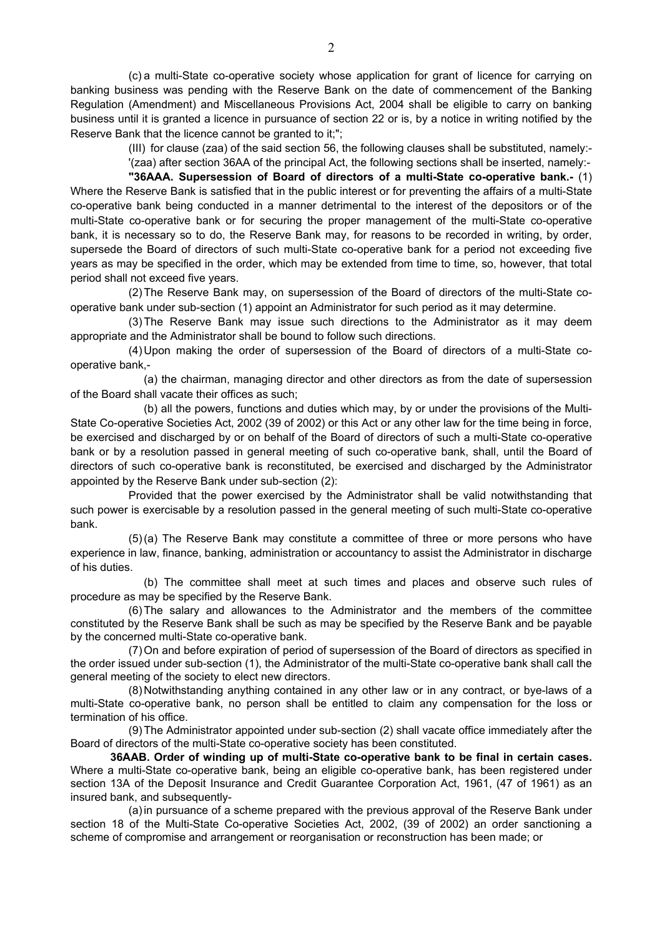(c) a multi-State co-operative society whose application for grant of licence for carrying on banking business was pending with the Reserve Bank on the date of commencement of the Banking Regulation (Amendment) and Miscellaneous Provisions Act, 2004 shall be eligible to carry on banking business until it is granted a licence in pursuance of section 22 or is, by a notice in writing notified by the Reserve Bank that the licence cannot be granted to it;";

> (III) for clause (zaa) of the said section 56, the following clauses shall be substituted, namely:- '(zaa) after section 36AA of the principal Act, the following sections shall be inserted, namely:-

 **"36AAA. Supersession of Board of directors of a multi-State co-operative bank.-** (1) Where the Reserve Bank is satisfied that in the public interest or for preventing the affairs of a multi-State co-operative bank being conducted in a manner detrimental to the interest of the depositors or of the multi-State co-operative bank or for securing the proper management of the multi-State co-operative bank, it is necessary so to do, the Reserve Bank may, for reasons to be recorded in writing, by order, supersede the Board of directors of such multi-State co-operative bank for a period not exceeding five years as may be specified in the order, which may be extended from time to time, so, however, that total period shall not exceed five years.

(2) The Reserve Bank may, on supersession of the Board of directors of the multi-State cooperative bank under sub-section (1) appoint an Administrator for such period as it may determine.

(3) The Reserve Bank may issue such directions to the Administrator as it may deem appropriate and the Administrator shall be bound to follow such directions.

(4) Upon making the order of supersession of the Board of directors of a multi-State cooperative bank,-

(a) the chairman, managing director and other directors as from the date of supersession of the Board shall vacate their offices as such;

(b) all the powers, functions and duties which may, by or under the provisions of the Multi-State Co-operative Societies Act, 2002 (39 of 2002) or this Act or any other law for the time being in force, be exercised and discharged by or on behalf of the Board of directors of such a multi-State co-operative bank or by a resolution passed in general meeting of such co-operative bank, shall, until the Board of directors of such co-operative bank is reconstituted, be exercised and discharged by the Administrator appointed by the Reserve Bank under sub-section (2):

Provided that the power exercised by the Administrator shall be valid notwithstanding that such power is exercisable by a resolution passed in the general meeting of such multi-State co-operative bank.

(5) (a) The Reserve Bank may constitute a committee of three or more persons who have experience in law, finance, banking, administration or accountancy to assist the Administrator in discharge of his duties.

(b) The committee shall meet at such times and places and observe such rules of procedure as may be specified by the Reserve Bank.

(6) The salary and allowances to the Administrator and the members of the committee constituted by the Reserve Bank shall be such as may be specified by the Reserve Bank and be payable by the concerned multi-State co-operative bank.

(7) On and before expiration of period of supersession of the Board of directors as specified in the order issued under sub-section (1), the Administrator of the multi-State co-operative bank shall call the general meeting of the society to elect new directors.

(8) Notwithstanding anything contained in any other law or in any contract, or bye-laws of a multi-State co-operative bank, no person shall be entitled to claim any compensation for the loss or termination of his office.

(9) The Administrator appointed under sub-section (2) shall vacate office immediately after the Board of directors of the multi-State co-operative society has been constituted.

**36AAB. Order of winding up of multi-State co-operative bank to be final in certain cases.** Where a multi-State co-operative bank, being an eligible co-operative bank, has been registered under section 13A of the Deposit Insurance and Credit Guarantee Corporation Act, 1961, (47 of 1961) as an insured bank, and subsequently-

(a) in pursuance of a scheme prepared with the previous approval of the Reserve Bank under section 18 of the Multi-State Co-operative Societies Act, 2002, (39 of 2002) an order sanctioning a scheme of compromise and arrangement or reorganisation or reconstruction has been made; or